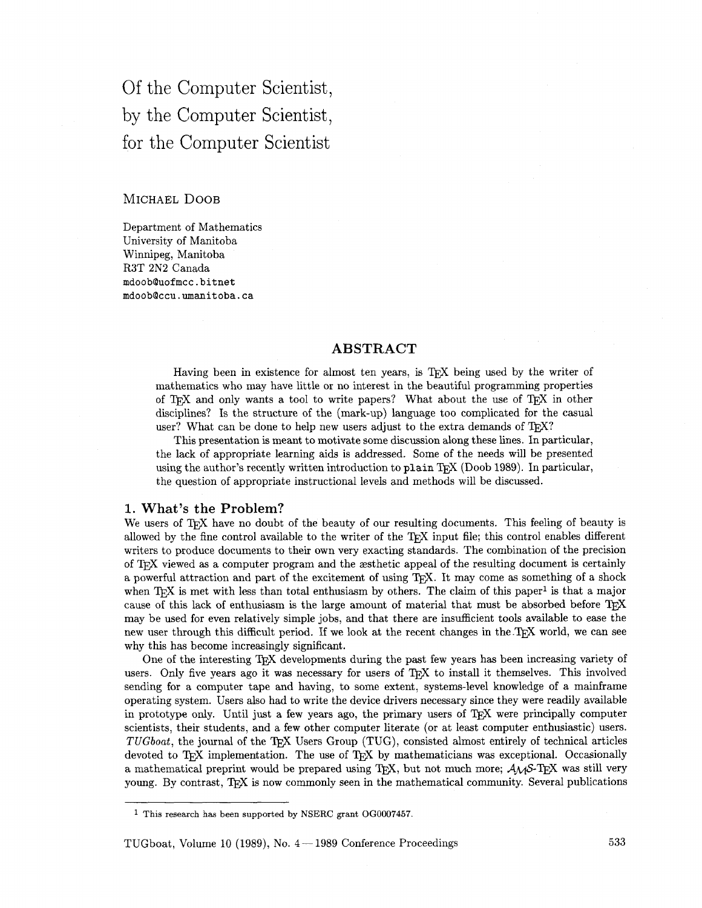Of the Computer Scientist, by the Computer Scientist, for the Computer Scientist

# MICHAEL DOOB

Department of Mathematics University of Manitoba Winnipeg, Manitoba R3T 2N2 Canada mdoobQuofmcc.bitnet mdoobQccu.umanitoba.ca

# **ABSTRACT**

Having been in existence for almost ten years, is TFX being used by the writer of mathematics who may have little or no interest in the beautiful programming properties Having been in existence for almost ten years, is T<sub>E</sub>X being used by the writer of mathematics who may have little or no interest in the beautiful programming properties of T<sub>E</sub>X and only wants a tool to write papers? Wha disciplines? Is the structure of the (mark-up) language too complicated for the casual user? What can be done to help new users adjust to the extra demands of  $T_F X$ ?

This presentation is meant to motivate some discussion along these lines. In particular, the lack of appropriate learning aids is addressed. Some of the needs will be presented using the author's recently written introduction to plain TFX (Doob 1989). In particular, the question of appropriate instructional levels and methods will be discussed.

## 1. What's the Problem?

We users of T<sub>F</sub>X have no doubt of the beauty of our resulting documents. This feeling of beauty is allowed by the fine control available to the writer of the  $T_F X$  input file; this control enables different writers to produce documents to their own very exacting standards. The combination of the precision of T<sub>F</sub>X viewed as a computer program and the aesthetic appeal of the resulting document is certainly a powerful attraction and part of the excitement of using T<sub>R</sub>X. It may come as something of a shock when  $T_F X$  is met with less than total enthusiasm by others. The claim of this paper<sup>1</sup> is that a major cause of this lack of enthusiasm is the large amount of material that must be absorbed before may be used for even relatively simple jobs, and that there are insufficient tools available to ease the new user through this difficult period. If we look at the recent changes in the TFX world, we can see why this has become increasingly significant.

One of the interesting TFX developments during the past few years has been increasing variety of users. Only five years ago it was necessary for users of T<sub>F</sub>X to install it themselves. This involved sending for a computer tape and having, to some extent, systems-level knowledge of a mainframe operating system. Users also had to write the device drivers necessary since they were readily available in prototype only. Until just a few years ago, the primary users of T<sub>E</sub>X were principally computer scientists, their students, and a few other computer literate (or at least computer enthusiastic) users. *TUGboat,* the journal of the T<sub>R</sub>X Users Group (TUG), consisted almost entirely of technical articles devoted to TEX implementation. The use of TEX by mathematicians was exceptional. Occasionally a mathematical preprint would be prepared using T<sub>F</sub>X, but not much more;  $A_{\mathcal{M}}S$ -T<sub>F</sub>X was still very young. By contrast, TEX is now commonly seen in the mathematical community. Several publications

<sup>&</sup>lt;sup>1</sup> This research has been supported by NSERC grant OG0007457.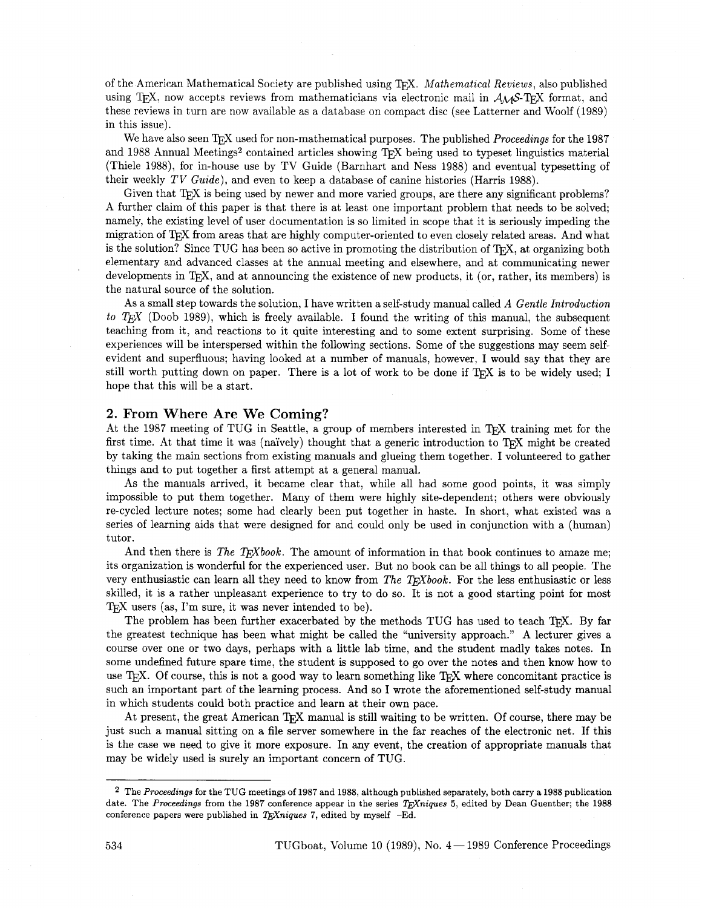of the American Mathematical Society are published using T<sub>EX</sub>. Mathematical Reviews, also published using TEX, now accepts reviews from mathematicians via electronic mail in  $A\mathcal{M}S$ -TEX format, and these reviews in turn are now available as a database on compact disc (see Latterner and Woolf (1989) in this issue).

We have also seen T<sub>E</sub>X used for non-mathematical purposes. The published *Proceedings* for the 1987 and 1988 Annual Meetings<sup>2</sup> contained articles showing T<sub>E</sub>X being used to typeset linguistics material (Thiele 1988), for in-house use by TV Guide (Barnhart and Ness 1988) and eventual typesetting of their weekly TV Guide), and even to keep a database of canine histories (Harris 1988).

Given that T<sub>F</sub>X is being used by newer and more varied groups, are there any significant problems? A further claim of this paper is that there is at least one important problem that needs to be solved; namely, the existing level of user documentation is so limited in scope that it is seriously impeding the migration of T<sub>F</sub>X from areas that are highly computer-oriented to even closely related areas. And what is the solution? Since TUG has been so active in promoting the distribution of  $T<sub>F</sub>X$ , at organizing both elementary and advanced classes at the annual meeting and elsewhere, and at communicating newer developments in T<sub>E</sub>X, and at announcing the existence of new products, it (or, rather, its members) is the natural source of the solution.

As a small step towards the solution, I have written a self-study manual called *A* Gentle Introduction to *T<sub>F</sub>X* (Doob 1989), which is freely available. I found the writing of this manual, the subsequent teaching from it, and reactions to it quite interesting and to some extent surprising. Some of these experiences will be interspersed within the following sections. Some of the suggestions may seem selfevident and superfluous; having looked at a number of manuals, however, I would say that they are still worth putting down on paper. There is a lot of work to be done if T<sub>E</sub>X is to be widely used; I hope that this will be a start.

## 2. From Where Are We Coming?

At the 1987 meeting of TUG in Seattle, a group of members interested in 'QX training met for the first time. At that time it was (naïvely) thought that a generic introduction to TFX might be created by taking the main sections from existing manuals and glueing them together. I volunteered to gather things and to put together a first attempt at a general manual.

As the manuals arrived, it became clear that, while all had some good points, it was simply impossible to put them together. Many of them were highly site-dependent; others were obviously re-cycled lecture notes; some had clearly been put together in haste. In short, what existed was a series of learning aids that were designed for and could only be used in conjunction with a (human) tutor.

And then there is The T<sub>E</sub>Xbook. The amount of information in that book continues to amaze me; its organization is wonderful for the experienced user. But no book can be all things to all people. The very enthusiastic can learn all they need to know from The TEXbook. For the less enthusiastic or less skilled, it is a rather unpleasant experience to try to do so. It is not a good starting point for most T<sub>E</sub>X users (as, I'm sure, it was never intended to be).

The problem has been further exacerbated by the methods TUG has used to teach TFX. By far the greatest technique has been what might be called the "university approach." A lecturer gives a course over one or two days, perhaps with a little lab time, and the student madly takes notes. In some undefined future spare time, the student is supposed to go over the notes and then know how to use T<sub>E</sub>X. Of course, this is not a good way to learn something like T<sub>E</sub>X where concomitant practice is such an important part of the learning process. And so I wrote the aforementioned self-study manual in which students could both practice and learn at their own pace.

At present, the great American T<sub>F</sub>X manual is still waiting to be written. Of course, there may be just such a manual sitting on a file server somewhere in the far reaches of the electronic net. If this is the case we need to give it more exposure. In any event, the creation of appropriate manuals that may be widely used is surely an important concern of TUG.

<sup>&</sup>lt;sup>2</sup> The Proceedings for the TUG meetings of 1987 and 1988, although published separately, both carry a 1988 publication date. The Proceedings from the 1987 conference appear in the series  $T_F X \rightarrow$  for the Dean Guenther; the 1988 conference papers were published in TEXniques 7, edited by myself  $-Ed$ .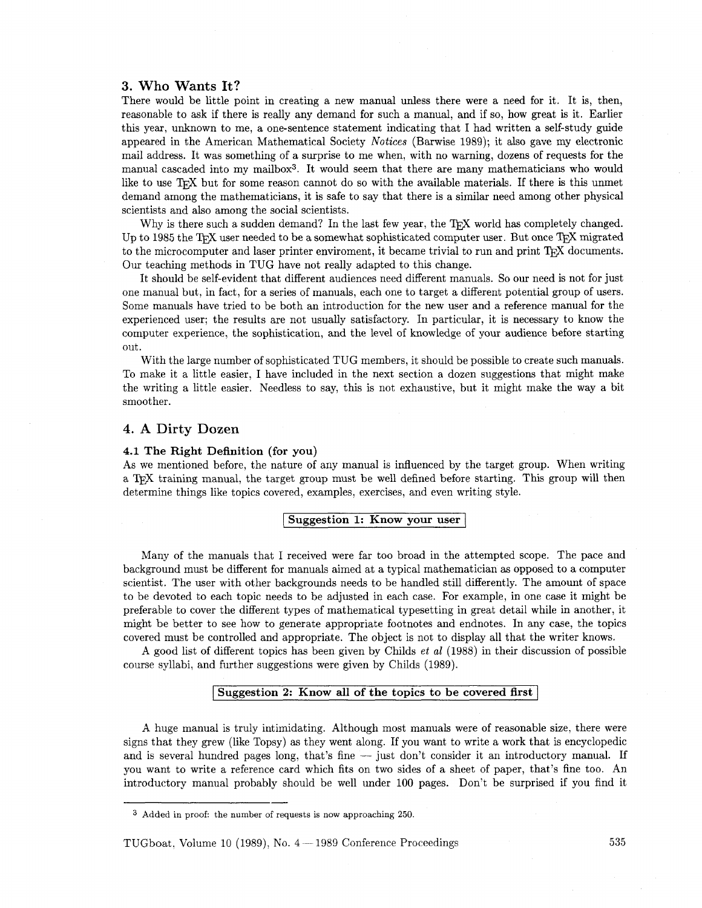# **3.** Who **Wants It?**

There would be little point in creating a new manual unless there were a need for it. It is, then, reasonable to ask if there is really any demand for such a manual, and if so, how great is it. Earlier this year, unknown to me, a one-sentence statement indicating that I had written a self-study guide appeared in the American Mathematical Society Notices (Barwise 1989); it also gave my electronic mail address. It was something of a surprise to me when, with no warning, dozens of requests for the manual cascaded into my mailbox3. It would seem that there are many mathematicians who would like to use TFX but for some reason cannot do so with the available materials. If there is this unmet demand among the mathematicians, it is safe to say that there is a similar need among other physical scientists and also among the social scientists.

Why is there such a sudden demand? In the last few year, the  $T_{\rm F}X$  world has completely changed. Up to 1985 the T<sub>F</sub>X user needed to be a somewhat sophisticated computer user. But once T<sub>F</sub>X migrated to the microcomputer and laser printer enviroment, it became trivial to run and print T<sub>F</sub>X documents. Our teaching methods in TUG have not really adapted to this change.

It should be self-evident that different audiences need different manuals. So our need is not for just one manual but, in fact, for a series of manuals, each one to target a different potential group of users. Some manuals have tried to be both an introduction for the new user and a reference manual for the experienced user; the results are not usually satisfactory. In particular, it is necessary to know the computer experience, the sophistication, and the level of knowledge of your audience before starting out.

With the large number of sophisticated TUG members, it should be possible to create such manuals. To make it a little easier, I have included in the next section a dozen suggestions that might make the writing a little easier. Needless to say, this is not exhaustive, but it might make the way a bit smoother.

# **4. A** Dirty **Dozen**

#### **4.1 The Right Definition (for you)**

As we mentioned before, the nature of any manual is influenced by the target group. When writing a TEX training manual, the target group must be well defined before starting. This group will then determine things like topics covered, examples, exercises, and even writing style.

# **Suggestion 1: Know your user**

Many of the manuals that I received were far too broad in the attempted scope. The pace and background must be different for manuals aimed at a typical mathematician as opposed to a computer scientist. The user with other backgrounds needs to be handled still differently. The amount of space to be devoted to each topic needs to be adjusted in each case. For example, in one case it might be preferable to cover the different types of mathematical typesetting in great detail while in another, it might be better to see how to generate appropriate footnotes and endnotes. In any case, the topics covered must be controlled and appropriate. The object is not to display all that the writer knows.

A good list of different topics has been given by Childs et a1 (1988) in their discussion of possible course syllabi, and further suggestions were given by Childs (1989).

# **ISuggestion 2: Know all of the topics to be covered first**

A huge manual is truly intimidating. Although most manuals were of reasonable size, there were signs that they grew (like Topsy) as they went along. If you want to write a work that is encyclopedic and is several hundred pages long, that's fine - just don't consider it an introductory manual. If you want to write a reference card which fits on two sides of a sheet of paper, that's fine too. An introductory manual probably should be well under 100 pages. Don't be surprised if you find it

**<sup>3</sup> Added in proof: the number of requests is now approaching 250.**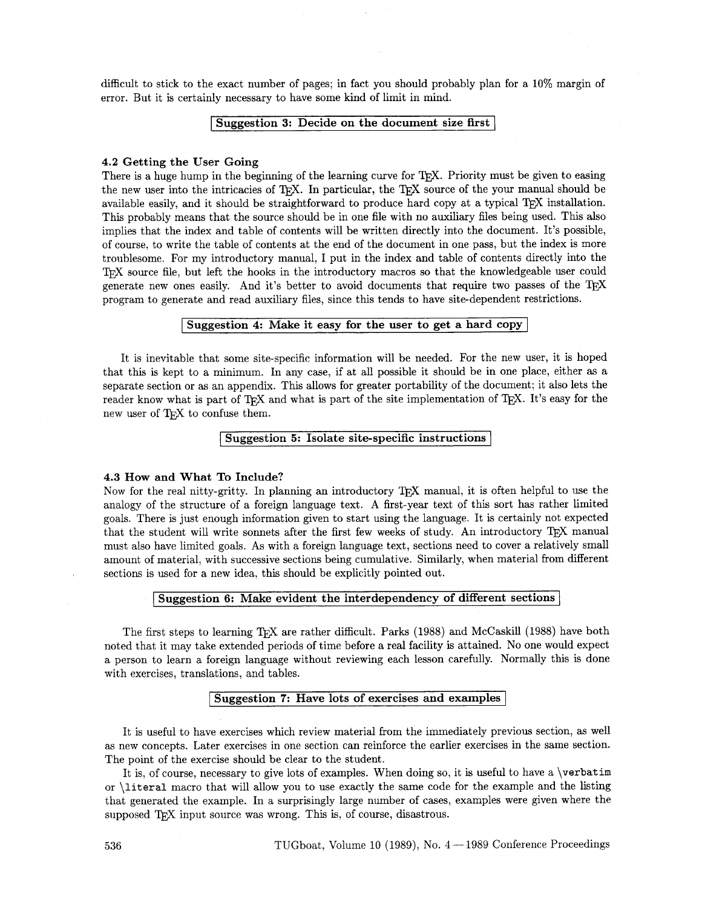difficult to stick to the exact number of pages; in fact you should probably plan for a 10% margin of error. But it is certainly necessary to have some kind of limit in mind.

## **ISuggestion 3: Decide on the document size first**

### **4.2 Getting the User Going**

There is a huge hump in the beginning of the learning curve for T<sub>R</sub>X. Priority must be given to easing the new user into the intricacies of T<sub>R</sub>X. In particular, the T<sub>R</sub>X source of the your manual should be available easily, and it should be straightforward to produce hard copy at a typical T<sub>E</sub>X installation. This probably means that the source should be in one file with no auxiliary files being used. This also implies that the index and table of contents will be written directly into the document. It's possible, of course, to write the table of contents at the end of the document in one pass, but the index is more troublesome. For my introductory manual, I put in the index and table of contents directly into the roublesome. For my introductory manual, I put in the index and table of contents directly into the IEX source file, but left the hooks in the introductory macros so that the knowledgeable user could IEX source file, but left the hooks in the introductory macros so that the knowledgeable user could generate new ones easily. And it's better to avoid documents that require two passes of the TEX program to generate and read auxiliary files, since this tends to have site-dependent restrictions.

<sup>I</sup>**Suggestion 4: Make it easy for the user to get a hard copy** <sup>I</sup>

It is inevitable that some site-specific information will be needed. For the new user, it is hoped that this is kept to a minimum. In any case, if at all possible it should be in one place, either as a separate section or as an appendix. This allows for greater portability of the document; it also lets the reader know what is part of TEX and what is part of the site implementation of TEX. It's easy for the new user of T<sub>F</sub>X to confuse them.

## **Muggestion 5: Isolate site-specific instructions**

#### **4.3 How and What To Include?**

Now for the real nitty-gritty. In planning an introductory T<sub>R</sub>X manual, it is often helpful to use the analogy of the structure of a foreign language text. A first-year text of this sort has rather limited goals. There is just enough information given to start using the language. It is certainly not expected that the student will write sonnets after the first few weeks of study. An introductory T<sub>F</sub>X manual must also have limited goals. As with a foreign language text, sections need to cover a relatively small amount of material, with successive sections being cumulative. Similarly, when material from different sections is used for a new idea, this should be explicitly pointed out.

## <sup>I</sup>**Suggestion 6: Make evident the interdependency of different sections** I

The first steps to learning T<sub>EX</sub> are rather difficult. Parks (1988) and McCaskill (1988) have both noted that it may take extended periods of time before a real facility is attained. No one would expect a person to learn a foreign language without reviewing each lesson carefully. Normally this is done with exercises, translations, and tables.

## <sup>I</sup>**Suggestion 7: Have lots of exercises and examples** <sup>I</sup>

It is useful to have exercises which review material from the immediately previous section, as well as new concepts. Later exercises in one section can reinforce the earlier exercises in the same section. The point of the exercise should be clear to the student.

It is, of course, necessary to give lots of examples. When doing so, it is useful to have a \verbatim or \literal macro that will allow you to use exactly the same code for the example and the listing that generated the example. In a surprisingly large number of cases, examples were given where the supposed T<sub>F</sub>X input source was wrong. This is, of course, disastrous.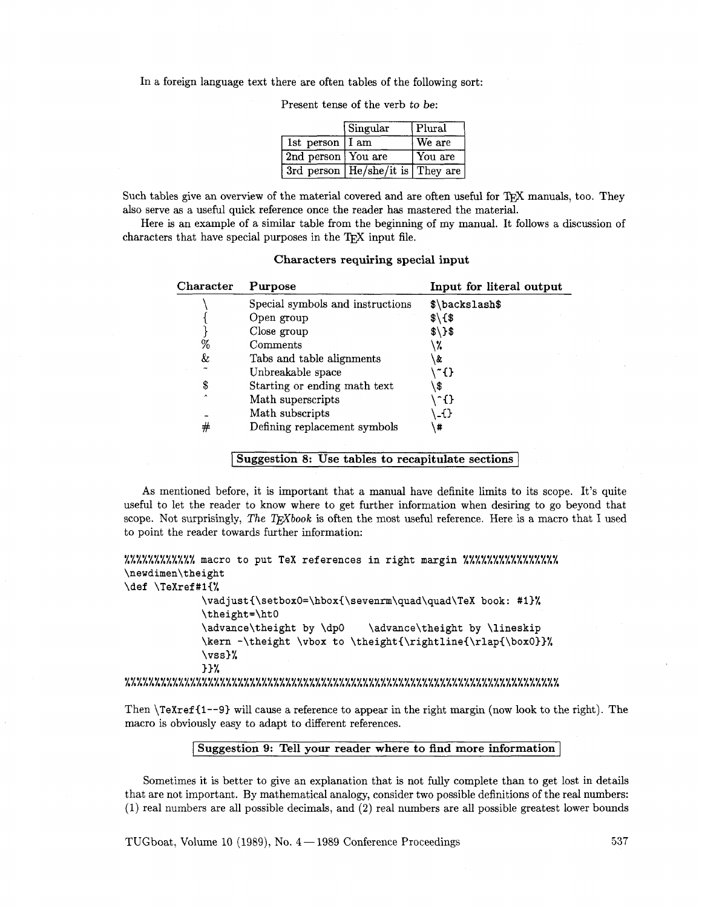In a foreign language text there are often tables of the following sort:

|                    | Singular                             | Plural  |
|--------------------|--------------------------------------|---------|
| 1st person   I am  |                                      | We are  |
| 2nd person You are |                                      | You are |
|                    | 3rd person   He/she/it is   They are |         |

Present tense of the verb to be:

Such tables give an overview of the material covered and are often useful for T<sub>F</sub>X manuals, too. They also serve as a useful quick reference once the reader has mastered the material.

Here is an example of a similar table from the beginning of my manual. It follows a discussion of characters that have special purposes in the T<sub>F</sub>X input file.

| Character | Purpose                          | Input for literal output |
|-----------|----------------------------------|--------------------------|
|           | Special symbols and instructions | \$\backslash\$           |
|           | Open group                       | $\frac{1}{2}$            |
|           | Close group                      | $$\\3$                   |
| %         | Comments                         | .7.                      |
| &         | Tabs and table alignments        | ι&                       |
|           | Unbreakable space                | ~{}                      |
| \$        | Starting or ending math text     | \$                       |
| $\lambda$ | Math superscripts                | -{}                      |
|           | Math subscripts                  | -0                       |
| #         | Defining replacement symbols     | #                        |

**Characters requiring special input** 

**Suggestion 8: Use tables to recapitulate sections** <sup>1</sup>

As mentioned before, it is important that a manual have definite limits to its scope. It's quite useful to let the reader to know where to get further information when desiring to go beyond that scope. Not surprisingly, *The TFXbook* is often the most useful reference. Here is a macro that I used to point the reader towards further information:

```
ooooo*oooooo LLLLLLLLLL macro to put TeX references in right margin %%%%%%%%%%%%%%%% 
\newdimen\theight 
\def \TeXref#l{% 
                \vadjust{\setbox0=\hbox{\sevenrm\quad\quad\TeX book: #1}%
                \theight=\htO 
                \advance\theight by \dp0 \advance\theight by \lineskip
                \kern -\theight \vbox to \theight{\rightline{\rlap{\box0}}%
                \vss)% 
                I)% 
sooO*o*sos0ooooooeo~e.oo~e**eooo#*e..I*oeoeoe.oo*oo#*e~.e.ee~*eoo*eoooeoo LLLLALLLLLLLLLLLLLALLLLLLLLLLLLLLLLLLLLLLLLLLLLLLLLLLLLLLLLLLLLLLLLLLLLLL
```
Then **\TeXref (1--9)** will cause a reference to appear in the right margin (now look to the right). The macro is obviously easy to adapt to different references.

## <sup>I</sup>**Suggestion 9: Tell your reader where to find more information]**

Sometimes it is better to give an explanation that is not fully complete than to get lost in details that are not important. By mathematical analogy, consider two possible definitions of the real numbers: (1) real numbers are all possible decimals, and (2) real numbers are all possible greatest lower bounds

TUGboat, Volume 10 (1989), No.  $4-1989$  Conference Proceedings **537**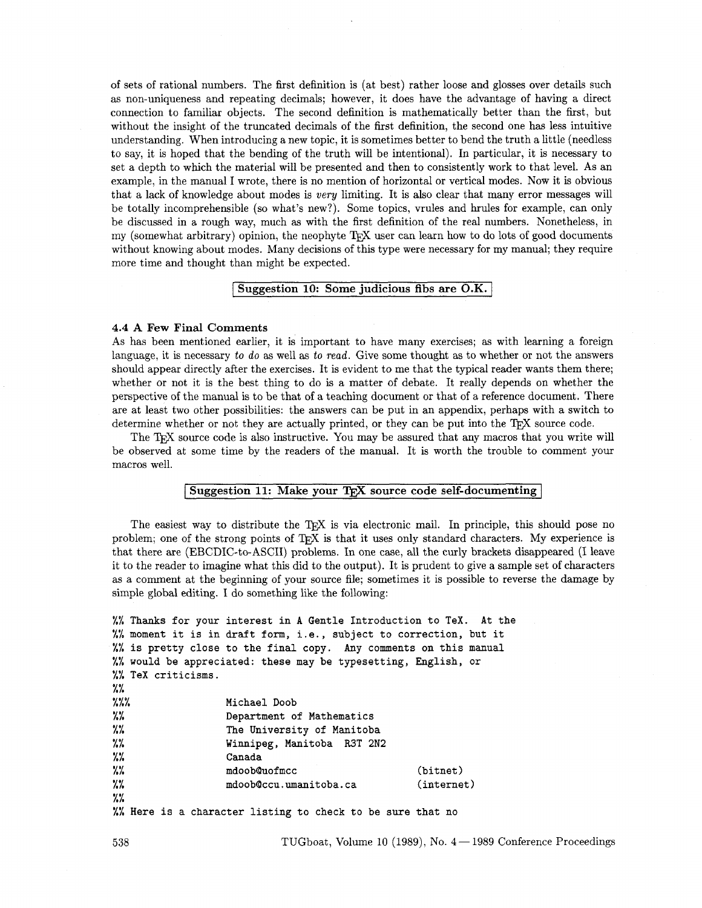of sets of rational numbers. The first definition is (at best) rather loose and glosses over details such as non-uniqueness and repeating decimals; however, it does have the advantage of having a direct connection to familiar objects. The second definition is mathematically better than the first, but without the insight of the truncated decimals of the first definition, the second one has less intuitive understanding. When introducing a new topic, it is sometimes better to bend the truth a little (needless to say, it is hoped that the bending of the truth will be intentional). In particular, it is necessary to set a depth to which the material will be presented and then to consistently work to that level. As an example, in the manual I wrote, there is no mention of horizontal or vertical modes. Now it is obvious that a lack of knowledge about modes is *very* limiting. It is also clear that many error messages will be totally incomprehensible (so what's new?). Some topics, vrules and hrules for example, can only be discussed in a rough way, much as with the first definition of the real numbers. Nonetheless, in my (somewhat arbitrary) opinion, the neophyte  $T<sub>F</sub>X$  user can learn how to do lots of good documents without knowing about modes. Many decisions of this type were necessary for my manual; they require more time and thought than might be expected.

#### **[Suggestion 10: Some judicious fibs are O.K.** <sup>I</sup>

#### **4.4 A Few Final Comments**

As has been mentioned earlier, it is important to have many exercises; as with learning a foreign language, it is necessary to *do* as well as to *read.* Give some thought as to whether or not the answers should appear directly after the exercises. It is evident to me that the typical reader wants them there; whether or not it is the best thing to do is a matter of debate. It really depends on whether the perspective of the manual is to be that of a teaching document or that of a reference document. There are at least two other possibilities: the answers can be put in an appendix, perhaps with a switch to determine whether or not they are actually printed, or they can be put into the T<sub>E</sub>X source code.

The T<sub>EX</sub> source code is also instructive. You may be assured that any macros that you write will be observed at some time by the readers of the manual. It is worth the trouble to comment your macros well.

# **Suggestion 11: Make your TEX source code self-documenting**

The easiest way to distribute the T<sub>E</sub>X is via electronic mail. In principle, this should pose no problem; one of the strong points of TEX is that it uses only standard characters. My experience is that there are (EBCDIC-to-ASCII) problems. In one case, all the curly brackets disappeared (I leave it to the reader to imagine what this did to the output). It is prudent to give a sample set of characters as a comment at the beginning of your source file; sometimes it is possible to reverse the damage by simple global editing. I do something like the following:

|                                                                   | %% Thanks for your interest in A Gentle Introduction to TeX. At the |            |  |  |
|-------------------------------------------------------------------|---------------------------------------------------------------------|------------|--|--|
|                                                                   | %% moment it is in draft form, i.e., subject to correction, but it  |            |  |  |
| %% is pretty close to the final copy. Any comments on this manual |                                                                     |            |  |  |
| %% would be appreciated: these may be typesetting, English, or    |                                                                     |            |  |  |
| %% TeX criticisms.                                                |                                                                     |            |  |  |
| $\frac{1}{2}$                                                     |                                                                     |            |  |  |
| $\frac{7.7.7}{1.7.7}$                                             | Michael Doob                                                        |            |  |  |
| $\frac{1}{2}$                                                     | Department of Mathematics                                           |            |  |  |
| $\frac{1}{2}$<br>The University of Manitoba                       |                                                                     |            |  |  |
| $\frac{7\%}{10}$                                                  | Winnipeg, Manitoba R3T 2N2                                          |            |  |  |
| %%                                                                | Canada                                                              |            |  |  |
| $\frac{1}{2}$                                                     | mdoob@uofmcc                                                        | (bitnet)   |  |  |
| $\frac{1}{2}$                                                     | mdoob@ccu.umanitoba.ca                                              | (internet) |  |  |
| $\frac{2\%}{\alpha}$                                              |                                                                     |            |  |  |
|                                                                   | ". Here is a character listing to check to be sure that no          |            |  |  |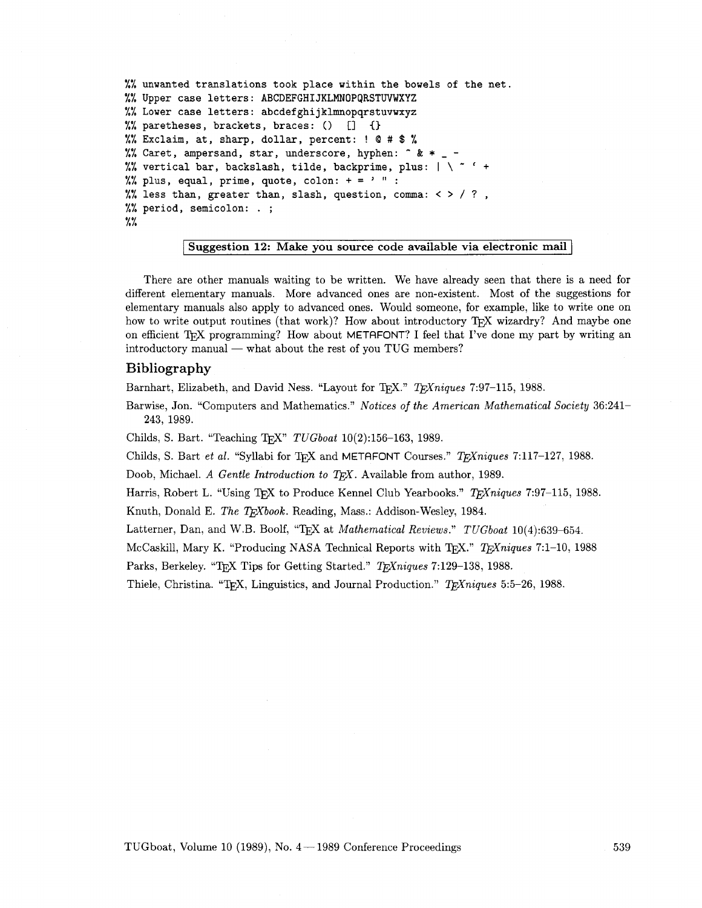```
%% unwanted translations took place within the bowels of the net. 
%% Upper case letters: ABCDEFGHIJKLMNOPQRSTWWXYZ 
%% Lower case letters: abcdefghijklmnopqrstuvwxyz 
%% paretheses, brackets, braces: 0 [I C) 
%% Exclaim, at, sharp, dollar, percent: ! Q # $ % 
%% Caret, ampersand, star, underscore, hyphen: \hat{z} * _ -
%% vertical bar, backslash, tilde, backprime, plus: |\ \ \cdot \ \ ' +
%% plus, equal, prime, quote, colon: += ' " :
\frac{1}{2} less than, greater than, slash, question, comma: < > / ?,
%% period, semicolon: . ; 
\frac{2\%}{\%}
```
## Suggestion 12: Make you source code available via electronic mail

There are other manuals waiting to be written. We have already seen that there is a need for different elementary manuals. More advanced ones are non-existent. Most of the suggestions for elementary manuals also apply to advanced ones. Would someone, for example, like to write one on how to write output routines (that work)? How about introductory T<sub>F</sub>X wizardry? And maybe one now to write output routines (that work): how about introductory  $I_{\text{E}}X$  wizardiy: And maybe one<br>on efficient T<sub>E</sub>X programming? How about METAFONT? I feel that I've done my part by writing an<br>introductory manual — what

# **Bibliography**

Barnhart, Elizabeth, and David Ness. "Layout for T<sub>F</sub>X." *T<sub>F</sub>Xniques* 7:97-115, 1988.

Barwise, Jon. "Computers and Mathematics." *Notices of the American Mathematical Society* 36:241- 243, 1989.

Childs, S. Bart. "Teaching ?jEX" *TUGboat* 10(2):156-163, 1989.

Childs, S. Bart *et al.* "Syllabi for T<sub>F</sub>X and METAFONT Courses." *T<sub>F</sub>Xniques* 7:117-127, 1988.

Doob, Michael. *A Gentle Introduction to TFX*. Available from author, 1989.

Harris, Robert L. "Using T<sub>E</sub>X to Produce Kennel Club Yearbooks." *T<sub>E</sub>Xniques* 7:97-115, 1988.

Knuth, Donald E. *The TEXbook*. Reading, Mass.: Addison-Wesley, 1984.

Latterner, Dan, and W.B. Boolf, "QX at *Mathematical Reviews." TUGboat* 10(4):639-654.

McCaskill, Mary K. "Producing NASA Technical Reports with T<sub>F</sub>X." *T<sub>F</sub>Xniques* 7:1-10, 1988

Parks, Berkeley. "T<sub>F</sub>X Tips for Getting Started." *T<sub>F</sub>Xniques* 7:129-138, 1988.

Thiele, Christina. "T<sub>F</sub>X, Linguistics, and Journal Production." *T<sub>F</sub>Xniques* 5:5-26, 1988.